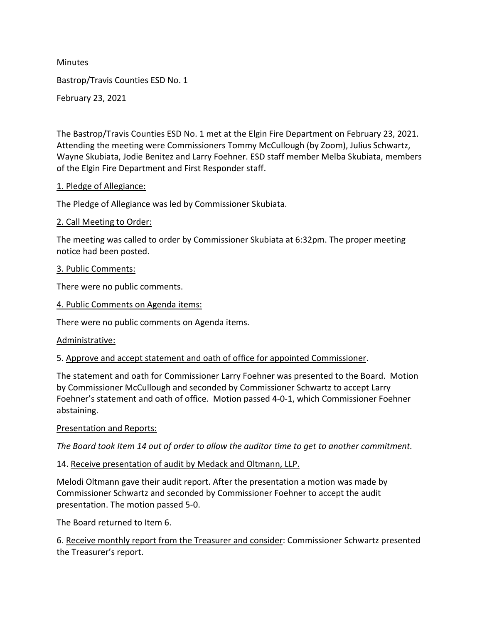**Minutes** Bastrop/Travis Counties ESD No. 1 February 23, 2021

The Bastrop/Travis Counties ESD No. 1 met at the Elgin Fire Department on February 23, 2021. Attending the meeting were Commissioners Tommy McCullough (by Zoom), Julius Schwartz, Wayne Skubiata, Jodie Benitez and Larry Foehner. ESD staff member Melba Skubiata, members of the Elgin Fire Department and First Responder staff.

### 1. Pledge of Allegiance:

The Pledge of Allegiance was led by Commissioner Skubiata.

### 2. Call Meeting to Order:

The meeting was called to order by Commissioner Skubiata at 6:32pm. The proper meeting notice had been posted.

#### 3. Public Comments:

There were no public comments.

4. Public Comments on Agenda items:

There were no public comments on Agenda items.

#### Administrative:

5. Approve and accept statement and oath of office for appointed Commissioner.

The statement and oath for Commissioner Larry Foehner was presented to the Board. Motion by Commissioner McCullough and seconded by Commissioner Schwartz to accept Larry The Pledge of Allegiance was led by Commissioner Skubiata.<br>2. Call Meeting to Order:<br>The meeting was called to order by Commissioner Skubiata at 6:32pm. The proper meeting<br>oncice had been posted.<br><u>3. Public Comments:</u><br>A<u>pu</u> abstaining. 3. Public Comments:<br>
There were no public comments.<br>
4. Public Comments on Agenda items:<br>
There were no public comments on Agenda items.<br>
Administrative:<br>
5. Approve and accept statement and oath of office for appointed Co

#### Presentation and Reports:

### 14. Receive presentation of audit by Medack and Oltmann, LLP.

Melodi Oltmann gave their audit report. After the presentation a motion was made by Commissioner Schwartz and seconded by Commissioner Foehner to accept the audit presentation. The motion passed 5-0.

The Board returned to Item 6.

6. Receive monthly report from the Treasurer and consider: Commissioner Schwartz presented the Treasurer's report.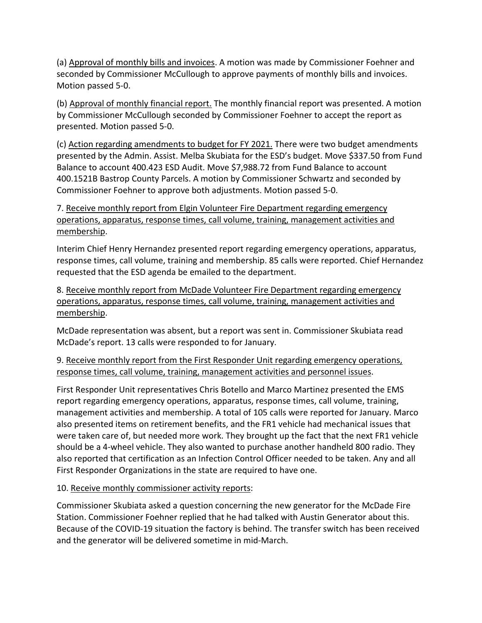(a) Approval of monthly bills and invoices. A motion was made by Commissioner Foehner and seconded by Commissioner McCullough to approve payments of monthly bills and invoices. Motion passed 5-0.

(b) Approval of monthly financial report. The monthly financial report was presented. A motion by Commissioner McCullough seconded by Commissioner Foehner to accept the report as presented. Motion passed 5-0.

(a) <u>Approval of monthly bills and invoices</u>. A motion was made by Commissioner Foehner and<br>seconded by Commissioner McCullough to approve payments of monthly bills and invoices.<br>Motion passed 5-0.<br>(b) <u>Approval of monthly</u> presented by the Admin. Assist. Melba Skubiata for the ESD's budget. Move \$337.50 from Fund Balance to account 400.423 ESD Audit. Move \$7,988.72 from Fund Balance to account 400.1521B Bastrop County Parcels. A motion by Commissioner Schwartz and seconded by Commissioner Foehner to approve both adjustments. Motion passed 5-0. (a) *Naprovar unimumy bins and movorces)*. A motorior was made by Commissioner *Chief Hernandel* by Commissioner *McCullough* to approve payments of monthly bills and invoices.<br>
(b) <u>Approval of monthly financial report</u>. (b) <u>Approval of monthly financial report.</u> The monthly financial report was presented. A motion<br>by Commissioner McCullough seconded by Commissioner Foehner to accept the report as<br>presented. Motion passed 5-0.<br>C) <u>Action </u>

7. Receive monthly report from Elgin Volunteer Fire Department regarding emergency operations, apparatus, response times, call volume, training, management activities and membership.

Interim Chief Henry Hernandez presented report regarding emergency operations, apparatus, requested that the ESD agenda be emailed to the department.

operations, apparatus, response times, call volume, training, management activities and membership.

McDade representation was absent, but a report was sent in. Commissioner Skubiata read McDade's report. 13 calls were responded to for January.

9. Receive monthly report from the First Responder Unit regarding emergency operations, response times, call volume, training, management activities and personnel issues.

First Responder Unit representatives Chris Botello and Marco Martinez presented the EMS report regarding emergency operations, apparatus, response times, call volume, training, management activities and membership. A total of 105 calls were reported for January. Marco also presented items on retirement benefits, and the FR1 vehicle had mechanical issues that were taken care of, but needed more work. They brought up the fact that the next FR1 vehicle should be a 4-wheel vehicle. They also wanted to purchase another handheld 800 radio. They also reported that certification as an Infection Control Officer needed to be taken. Any and all First Responder Organizations in the state are required to have one.

# 10. Receive monthly commissioner activity reports:

Commissioner Skubiata asked a question concerning the new generator for the McDade Fire Station. Commissioner Foehner replied that he had talked with Austin Generator about this. Because of the COVID-19 situation the factory is behind. The transfer switch has been received and the generator will be delivered sometime in mid-March.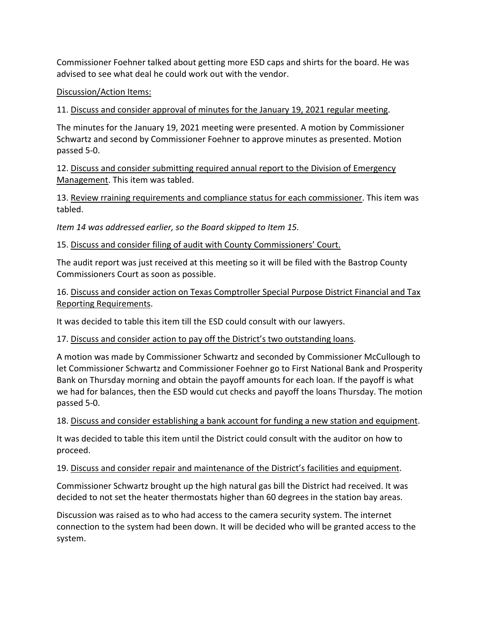Commissioner Foehner talked about getting more ESD caps and shirts for the board. He was advised to see what deal he could work out with the vendor.

## Discussion/Action Items:

11. Discuss and consider approval of minutes for the January 19, 2021 regular meeting.

The minutes for the January 19, 2021 meeting were presented. A motion by Commissioner Schwartz and second by Commissioner Foehner to approve minutes as presented. Motion passed 5-0.

12. Discuss and consider submitting required annual report to the Division of Emergency Management. This item was tabled.

13. Review rraining requirements and compliance status for each commissioner. This item was tabled.

Item 14 was addressed earlier, so the Board skipped to Item 15.

15. Discuss and consider filing of audit with County Commissioners' Court.

The audit report was just received at this meeting so it will be filed with the Bastrop County Commissioners Court as soon as possible.

16. Discuss and consider action on Texas Comptroller Special Purpose District Financial and Tax Reporting Requirements.

It was decided to table this item till the ESD could consult with our lawyers.

# 17. Discuss and consider action to pay off the District's two outstanding loans.

A motion was made by Commissioner Schwartz and seconded by Commissioner McCullough to let Commissioner Schwartz and Commissioner Foehner go to First National Bank and Prosperity Bank on Thursday morning and obtain the payoff amounts for each loan. If the payoff is what we had for balances, then the ESD would cut checks and payoff the loans Thursday. The motion passed 5-0.

# 18. Discuss and consider establishing a bank account for funding a new station and equipment.

It was decided to table this item until the District could consult with the auditor on how to proceed.

### 19. Discuss and consider repair and maintenance of the District's facilities and equipment.

Commissioner Schwartz brought up the high natural gas bill the District had received. It was decided to not set the heater thermostats higher than 60 degrees in the station bay areas.

Discussion was raised as to who had access to the camera security system. The internet connection to the system had been down. It will be decided who will be granted access to the system.